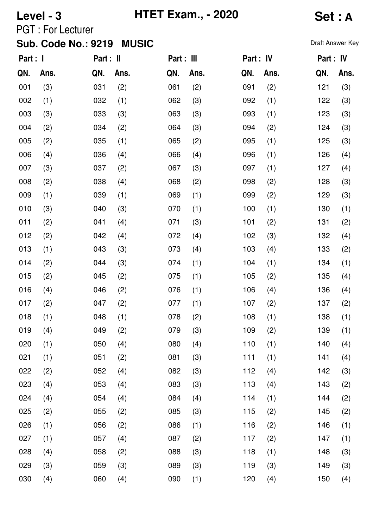### **Level - 3 HTET Exam., - 2020 Set : A**

PGT : For Lecturer

| Part : I |      | Part : II |      | Part : III |      | Part : IV |      | Part : IV |      |
|----------|------|-----------|------|------------|------|-----------|------|-----------|------|
| QN.      | Ans. | QN.       | Ans. | QN.        | Ans. | QN.       | Ans. | QN.       | Ans. |
| 001      | (3)  | 031       | (2)  | 061        | (2)  | 091       | (2)  | 121       | (3)  |
| 002      | (1)  | 032       | (1)  | 062        | (3)  | 092       | (1)  | 122       | (3)  |
| 003      | (3)  | 033       | (3)  | 063        | (3)  | 093       | (1)  | 123       | (3)  |
| 004      | (2)  | 034       | (2)  | 064        | (3)  | 094       | (2)  | 124       | (3)  |
| 005      | (2)  | 035       | (1)  | 065        | (2)  | 095       | (1)  | 125       | (3)  |
| 006      | (4)  | 036       | (4)  | 066        | (4)  | 096       | (1)  | 126       | (4)  |
| 007      | (3)  | 037       | (2)  | 067        | (3)  | 097       | (1)  | 127       | (4)  |
| 008      | (2)  | 038       | (4)  | 068        | (2)  | 098       | (2)  | 128       | (3)  |
| 009      | (1)  | 039       | (1)  | 069        | (1)  | 099       | (2)  | 129       | (3)  |
| 010      | (3)  | 040       | (3)  | 070        | (1)  | 100       | (1)  | 130       | (1)  |
| 011      | (2)  | 041       | (4)  | 071        | (3)  | 101       | (2)  | 131       | (2)  |
| 012      | (2)  | 042       | (4)  | 072        | (4)  | 102       | (3)  | 132       | (4)  |
| 013      | (1)  | 043       | (3)  | 073        | (4)  | 103       | (4)  | 133       | (2)  |
| 014      | (2)  | 044       | (3)  | 074        | (1)  | 104       | (1)  | 134       | (1)  |
| 015      | (2)  | 045       | (2)  | 075        | (1)  | 105       | (2)  | 135       | (4)  |
| 016      | (4)  | 046       | (2)  | 076        | (1)  | 106       | (4)  | 136       | (4)  |
| 017      | (2)  | 047       | (2)  | 077        | (1)  | 107       | (2)  | 137       | (2)  |
| 018      | (1)  | 048       | (1)  | 078        | (2)  | 108       | (1)  | 138       | (1)  |
| 019      | (4)  | 049       | (2)  | 079        | (3)  | 109       | (2)  | 139       | (1)  |
| 020      | (1)  | 050       | (4)  | 080        | (4)  | 110       | (1)  | 140       | (4)  |
| 021      | (1)  | 051       | (2)  | 081        | (3)  | 111       | (1)  | 141       | (4)  |
| 022      | (2)  | 052       | (4)  | 082        | (3)  | 112       | (4)  | 142       | (3)  |
| 023      | (4)  | 053       | (4)  | 083        | (3)  | 113       | (4)  | 143       | (2)  |
| 024      | (4)  | 054       | (4)  | 084        | (4)  | 114       | (1)  | 144       | (2)  |
| 025      | (2)  | 055       | (2)  | 085        | (3)  | 115       | (2)  | 145       | (2)  |
| 026      | (1)  | 056       | (2)  | 086        | (1)  | 116       | (2)  | 146       | (1)  |
| 027      | (1)  | 057       | (4)  | 087        | (2)  | 117       | (2)  | 147       | (1)  |
| 028      | (4)  | 058       | (2)  | 088        | (3)  | 118       | (1)  | 148       | (3)  |
| 029      | (3)  | 059       | (3)  | 089        | (3)  | 119       | (3)  | 149       | (3)  |
| 030      | (4)  | 060       | (4)  | 090        | (1)  | 120       | (4)  | 150       | (4)  |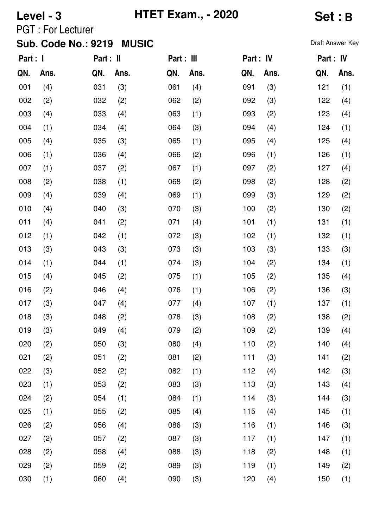# **Level - 3 HTET Exam., - 2020 Set : B**

PGT : For Lecturer

| Part : I |      | Part : II |      | Part : III |      | Part : IV |      | Part : IV |      |
|----------|------|-----------|------|------------|------|-----------|------|-----------|------|
| QN.      | Ans. | QN.       | Ans. | QN.        | Ans. | QN.       | Ans. | QN.       | Ans. |
| 001      | (4)  | 031       | (3)  | 061        | (4)  | 091       | (3)  | 121       | (1)  |
| 002      | (2)  | 032       | (2)  | 062        | (2)  | 092       | (3)  | 122       | (4)  |
| 003      | (4)  | 033       | (4)  | 063        | (1)  | 093       | (2)  | 123       | (4)  |
| 004      | (1)  | 034       | (4)  | 064        | (3)  | 094       | (4)  | 124       | (1)  |
| 005      | (4)  | 035       | (3)  | 065        | (1)  | 095       | (4)  | 125       | (4)  |
| 006      | (1)  | 036       | (4)  | 066        | (2)  | 096       | (1)  | 126       | (1)  |
| 007      | (1)  | 037       | (2)  | 067        | (1)  | 097       | (2)  | 127       | (4)  |
| 008      | (2)  | 038       | (1)  | 068        | (2)  | 098       | (2)  | 128       | (2)  |
| 009      | (4)  | 039       | (4)  | 069        | (1)  | 099       | (3)  | 129       | (2)  |
| 010      | (4)  | 040       | (3)  | 070        | (3)  | 100       | (2)  | 130       | (2)  |
| 011      | (4)  | 041       | (2)  | 071        | (4)  | 101       | (1)  | 131       | (1)  |
| 012      | (1)  | 042       | (1)  | 072        | (3)  | 102       | (1)  | 132       | (1)  |
| 013      | (3)  | 043       | (3)  | 073        | (3)  | 103       | (3)  | 133       | (3)  |
| 014      | (1)  | 044       | (1)  | 074        | (3)  | 104       | (2)  | 134       | (1)  |
| 015      | (4)  | 045       | (2)  | 075        | (1)  | 105       | (2)  | 135       | (4)  |
| 016      | (2)  | 046       | (4)  | 076        | (1)  | 106       | (2)  | 136       | (3)  |
| 017      | (3)  | 047       | (4)  | 077        | (4)  | 107       | (1)  | 137       | (1)  |
| 018      | (3)  | 048       | (2)  | 078        | (3)  | 108       | (2)  | 138       | (2)  |
| 019      | (3)  | 049       | (4)  | 079        | (2)  | 109       | (2)  | 139       | (4)  |
| 020      | (2)  | 050       | (3)  | 080        | (4)  | 110       | (2)  | 140       | (4)  |
| 021      | (2)  | 051       | (2)  | 081        | (2)  | 111       | (3)  | 141       | (2)  |
| 022      | (3)  | 052       | (2)  | 082        | (1)  | 112       | (4)  | 142       | (3)  |
| 023      | (1)  | 053       | (2)  | 083        | (3)  | 113       | (3)  | 143       | (4)  |
| 024      | (2)  | 054       | (1)  | 084        | (1)  | 114       | (3)  | 144       | (3)  |
| 025      | (1)  | 055       | (2)  | 085        | (4)  | 115       | (4)  | 145       | (1)  |
| 026      | (2)  | 056       | (4)  | 086        | (3)  | 116       | (1)  | 146       | (3)  |
| 027      | (2)  | 057       | (2)  | 087        | (3)  | 117       | (1)  | 147       | (1)  |
| 028      | (2)  | 058       | (4)  | 088        | (3)  | 118       | (2)  | 148       | (1)  |
| 029      | (2)  | 059       | (2)  | 089        | (3)  | 119       | (1)  | 149       | (2)  |
| 030      | (1)  | 060       | (4)  | 090        | (3)  | 120       | (4)  | 150       | (1)  |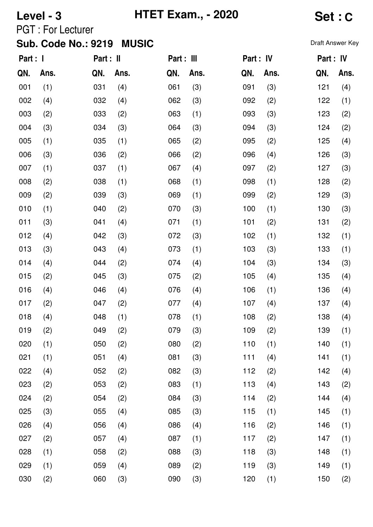# **Level - 3 HTET Exam., - 2020 Set : C**

PGT : For Lecturer

| Part : I |      | Part : II |      | Part : III |      | Part : IV |      | Part : IV |      |
|----------|------|-----------|------|------------|------|-----------|------|-----------|------|
| QN.      | Ans. | QN.       | Ans. | QN.        | Ans. | QN.       | Ans. | QN.       | Ans. |
| 001      | (1)  | 031       | (4)  | 061        | (3)  | 091       | (3)  | 121       | (4)  |
| 002      | (4)  | 032       | (4)  | 062        | (3)  | 092       | (2)  | 122       | (1)  |
| 003      | (2)  | 033       | (2)  | 063        | (1)  | 093       | (3)  | 123       | (2)  |
| 004      | (3)  | 034       | (3)  | 064        | (3)  | 094       | (3)  | 124       | (2)  |
| 005      | (1)  | 035       | (1)  | 065        | (2)  | 095       | (2)  | 125       | (4)  |
| 006      | (3)  | 036       | (2)  | 066        | (2)  | 096       | (4)  | 126       | (3)  |
| 007      | (1)  | 037       | (1)  | 067        | (4)  | 097       | (2)  | 127       | (3)  |
| 008      | (2)  | 038       | (1)  | 068        | (1)  | 098       | (1)  | 128       | (2)  |
| 009      | (2)  | 039       | (3)  | 069        | (1)  | 099       | (2)  | 129       | (3)  |
| 010      | (1)  | 040       | (2)  | 070        | (3)  | 100       | (1)  | 130       | (3)  |
| 011      | (3)  | 041       | (4)  | 071        | (1)  | 101       | (2)  | 131       | (2)  |
| 012      | (4)  | 042       | (3)  | 072        | (3)  | 102       | (1)  | 132       | (1)  |
| 013      | (3)  | 043       | (4)  | 073        | (1)  | 103       | (3)  | 133       | (1)  |
| 014      | (4)  | 044       | (2)  | 074        | (4)  | 104       | (3)  | 134       | (3)  |
| 015      | (2)  | 045       | (3)  | 075        | (2)  | 105       | (4)  | 135       | (4)  |
| 016      | (4)  | 046       | (4)  | 076        | (4)  | 106       | (1)  | 136       | (4)  |
| 017      | (2)  | 047       | (2)  | 077        | (4)  | 107       | (4)  | 137       | (4)  |
| 018      | (4)  | 048       | (1)  | 078        | (1)  | 108       | (2)  | 138       | (4)  |
| 019      | (2)  | 049       | (2)  | 079        | (3)  | 109       | (2)  | 139       | (1)  |
| 020      | (1)  | 050       | (2)  | 080        | (2)  | 110       | (1)  | 140       | (1)  |
| 021      | (1)  | 051       | (4)  | 081        | (3)  | 111       | (4)  | 141       | (1)  |
| 022      | (4)  | 052       | (2)  | 082        | (3)  | 112       | (2)  | 142       | (4)  |
| 023      | (2)  | 053       | (2)  | 083        | (1)  | 113       | (4)  | 143       | (2)  |
| 024      | (2)  | 054       | (2)  | 084        | (3)  | 114       | (2)  | 144       | (4)  |
| 025      | (3)  | 055       | (4)  | 085        | (3)  | 115       | (1)  | 145       | (1)  |
| 026      | (4)  | 056       | (4)  | 086        | (4)  | 116       | (2)  | 146       | (1)  |
| 027      | (2)  | 057       | (4)  | 087        | (1)  | 117       | (2)  | 147       | (1)  |
| 028      | (1)  | 058       | (2)  | 088        | (3)  | 118       | (3)  | 148       | (1)  |
| 029      | (1)  | 059       | (4)  | 089        | (2)  | 119       | (3)  | 149       | (1)  |
| 030      | (2)  | 060       | (3)  | 090        | (3)  | 120       | (1)  | 150       | (2)  |